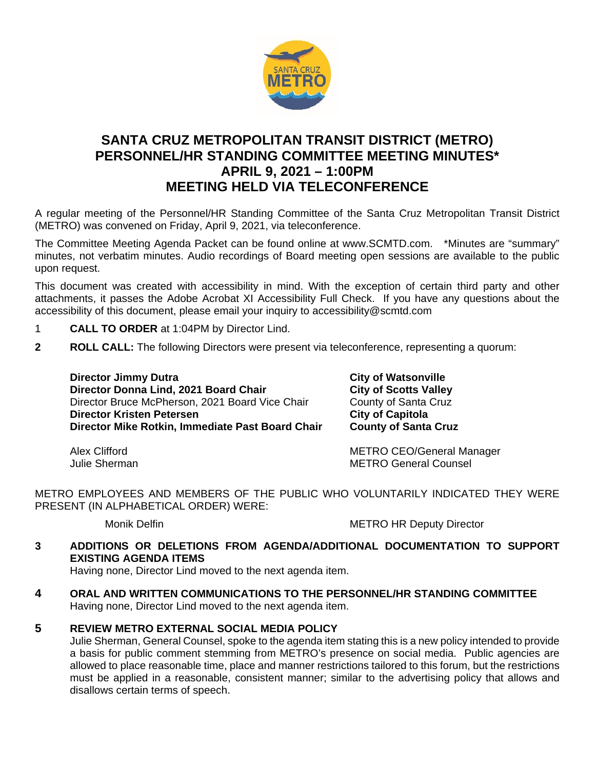

# **SANTA CRUZ METROPOLITAN TRANSIT DISTRICT (METRO) PERSONNEL/HR STANDING COMMITTEE MEETING MINUTES\* APRIL 9, 2021 – 1:00PM MEETING HELD VIA TELECONFERENCE**

A regular meeting of the Personnel/HR Standing Committee of the Santa Cruz Metropolitan Transit District (METRO) was convened on Friday, April 9, 2021, via teleconference.

The Committee Meeting Agenda Packet can be found online at www.SCMTD.com. \*Minutes are "summary" minutes, not verbatim minutes. Audio recordings of Board meeting open sessions are available to the public upon request.

This document was created with accessibility in mind. With the exception of certain third party and other attachments, it passes the Adobe Acrobat XI Accessibility Full Check. If you have any questions about the accessibility of this document, please email your inquiry to accessibility@scmtd.com

- 1 **CALL TO ORDER** at 1:04PM by Director Lind.
- **2 ROLL CALL:** The following Directors were present via teleconference, representing a quorum:

**Director Jimmy Dutra City of Watsonville City of Watsonville Director Donna Lind. 2021 Board Chair City of Scotts Valley Director Donna Lind, 2021 Board Chair City of Scotts Valley<br>Director Bruce McPherson, 2021 Board Vice Chair County of Santa Cruz** Director Bruce McPherson, 2021 Board Vice Chair County of Santa County of Santa Cruz<br>City of Capitola **Director Kristen Petersen** <br> **Director Mike Rotkin, Immediate Past Board Chair** County of Santa Cruz **Director Mike Rotkin, Immediate Past Board Chair** 

Alex Clifford **METRO CEO/General Manager**<br>
Unlie Sherman Manager<br>
Unlie Sherman **METRO General Counsel** 

METRO EMPLOYEES AND MEMBERS OF THE PUBLIC WHO VOLUNTARILY INDICATED THEY WERE PRESENT (IN ALPHABETICAL ORDER) WERE:

Monik Delfin METRO HR Deputy Director

**3 ADDITIONS OR DELETIONS FROM AGENDA/ADDITIONAL DOCUMENTATION TO SUPPORT EXISTING AGENDA ITEMS** 

Having none, Director Lind moved to the next agenda item.

- **4 ORAL AND WRITTEN COMMUNICATIONS TO THE PERSONNEL/HR STANDING COMMITTEE**  Having none, Director Lind moved to the next agenda item.
- **5 REVIEW METRO EXTERNAL SOCIAL MEDIA POLICY**

Julie Sherman, General Counsel, spoke to the agenda item stating this is a new policy intended to provide a basis for public comment stemming from METRO's presence on social media. Public agencies are allowed to place reasonable time, place and manner restrictions tailored to this forum, but the restrictions must be applied in a reasonable, consistent manner; similar to the advertising policy that allows and disallows certain terms of speech.